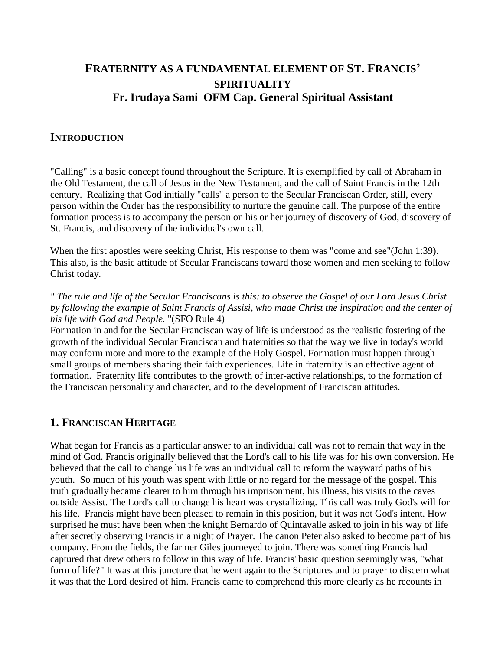# **FRATERNITY AS A FUNDAMENTAL ELEMENT OF ST. FRANCIS' SPIRITUALITY Fr. Irudaya Sami OFM Cap. General Spiritual Assistant**

### **INTRODUCTION**

"Calling" is a basic concept found throughout the Scripture. It is exemplified by call of Abraham in the Old Testament, the call of Jesus in the New Testament, and the call of Saint Francis in the 12th century. Realizing that God initially "calls" a person to the Secular Franciscan Order, still, every person within the Order has the responsibility to nurture the genuine call. The purpose of the entire formation process is to accompany the person on his or her journey of discovery of God, discovery of St. Francis, and discovery of the individual's own call.

When the first apostles were seeking Christ, His response to them was "come and see"(John 1:39). This also, is the basic attitude of Secular Franciscans toward those women and men seeking to follow Christ today.

*" The rule and life of the Secular Franciscans is this: to observe the Gospel of our Lord Jesus Christ by following the example of Saint Francis of Assisi, who made Christ the inspiration and the center of his life with God and People.* "(SFO Rule 4)

Formation in and for the Secular Franciscan way of life is understood as the realistic fostering of the growth of the individual Secular Franciscan and fraternities so that the way we live in today's world may conform more and more to the example of the Holy Gospel. Formation must happen through small groups of members sharing their faith experiences. Life in fraternity is an effective agent of formation. Fraternity life contributes to the growth of inter-active relationships, to the formation of the Franciscan personality and character, and to the development of Franciscan attitudes.

### **1. FRANCISCAN HERITAGE**

What began for Francis as a particular answer to an individual call was not to remain that way in the mind of God. Francis originally believed that the Lord's call to his life was for his own conversion. He believed that the call to change his life was an individual call to reform the wayward paths of his youth. So much of his youth was spent with little or no regard for the message of the gospel. This truth gradually became clearer to him through his imprisonment, his illness, his visits to the caves outside Assist. The Lord's call to change his heart was crystallizing. This call was truly God's will for his life. Francis might have been pleased to remain in this position, but it was not God's intent. How surprised he must have been when the knight Bernardo of Quintavalle asked to join in his way of life after secretly observing Francis in a night of Prayer. The canon Peter also asked to become part of his company. From the fields, the farmer Giles journeyed to join. There was something Francis had captured that drew others to follow in this way of life. Francis' basic question seemingly was, "what form of life?" It was at this juncture that he went again to the Scriptures and to prayer to discern what it was that the Lord desired of him. Francis came to comprehend this more clearly as he recounts in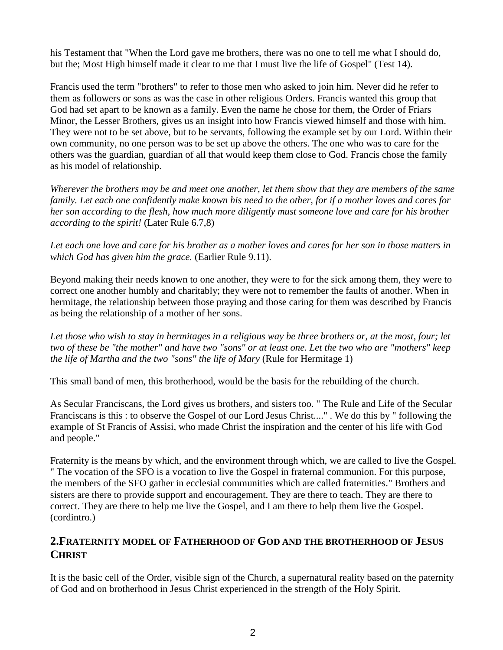his Testament that "When the Lord gave me brothers, there was no one to tell me what I should do, but the; Most High himself made it clear to me that I must live the life of Gospel" (Test 14).

Francis used the term "brothers" to refer to those men who asked to join him. Never did he refer to them as followers or sons as was the case in other religious Orders. Francis wanted this group that God had set apart to be known as a family. Even the name he chose for them, the Order of Friars Minor, the Lesser Brothers, gives us an insight into how Francis viewed himself and those with him. They were not to be set above, but to be servants, following the example set by our Lord. Within their own community, no one person was to be set up above the others. The one who was to care for the others was the guardian, guardian of all that would keep them close to God. Francis chose the family as his model of relationship.

*Wherever the brothers may be and meet one another, let them show that they are members of the same family. Let each one confidently make known his need to the other, for if a mother loves and cares for her son according to the flesh, how much more diligently must someone love and care for his brother according to the spirit!* (Later Rule 6.7,8)

*Let each one love and care for his brother as a mother loves and cares for her son in those matters in which God has given him the grace.* (Earlier Rule 9.11).

Beyond making their needs known to one another, they were to for the sick among them, they were to correct one another humbly and charitably; they were not to remember the faults of another. When in hermitage, the relationship between those praying and those caring for them was described by Francis as being the relationship of a mother of her sons.

*Let those who wish to stay in hermitages in a religious way be three brothers or, at the most, four; let two of these be "the mother" and have two "sons" or at least one. Let the two who are "mothers" keep the life of Martha and the two "sons" the life of Mary* (Rule for Hermitage 1)

This small band of men, this brotherhood, would be the basis for the rebuilding of the church.

As Secular Franciscans, the Lord gives us brothers, and sisters too. " The Rule and Life of the Secular Franciscans is this : to observe the Gospel of our Lord Jesus Christ...." . We do this by " following the example of St Francis of Assisi, who made Christ the inspiration and the center of his life with God and people."

Fraternity is the means by which, and the environment through which, we are called to live the Gospel. " The vocation of the SFO is a vocation to live the Gospel in fraternal communion. For this purpose, the members of the SFO gather in ecclesial communities which are called fraternities." Brothers and sisters are there to provide support and encouragement. They are there to teach. They are there to correct. They are there to help me live the Gospel, and I am there to help them live the Gospel. (cordintro.)

## **2.FRATERNITY MODEL OF FATHERHOOD OF GOD AND THE BROTHERHOOD OF JESUS CHRIST**

It is the basic cell of the Order, visible sign of the Church, a supernatural reality based on the paternity of God and on brotherhood in Jesus Christ experienced in the strength of the Holy Spirit.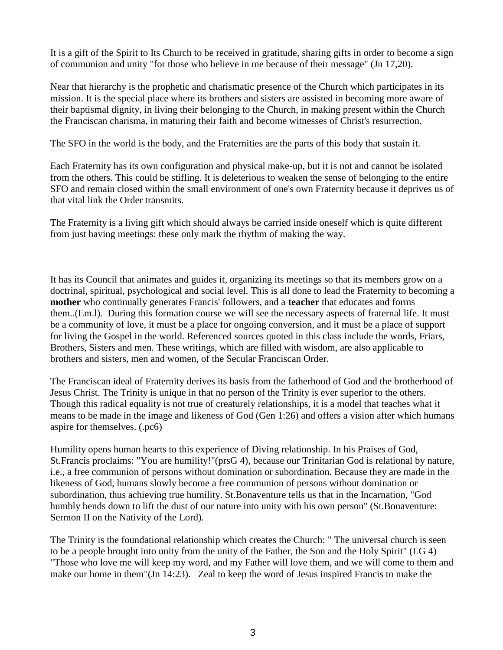It is a gift of the Spirit to Its Church to be received in gratitude, sharing gifts in order to become a sign of communion and unity "for those who believe in me because of their message" (Jn 17,20).

Near that hierarchy is the prophetic and charismatic presence of the Church which participates in its mission. It is the special place where its brothers and sisters are assisted in becoming more aware of their baptismal dignity, in living their belonging to the Church, in making present within the Church the Franciscan charisma, in maturing their faith and become witnesses of Christ's resurrection.

The SFO in the world is the body, and the Fraternities are the parts of this body that sustain it.

Each Fraternity has its own configuration and physical make-up, but it is not and cannot be isolated from the others. This could be stifling. It is deleterious to weaken the sense of belonging to the entire SFO and remain closed within the small environment of one's own Fraternity because it deprives us of that vital link the Order transmits.

The Fraternity is a living gift which should always be carried inside oneself which is quite different from just having meetings: these only mark the rhythm of making the way.

It has its Council that animates and guides it, organizing its meetings so that its members grow on a doctrinal, spiritual, psychological and social level. This is all done to lead the Fraternity to becoming a **mother** who continually generates Francis' followers, and a **teacher** that educates and forms them..(Em.l). During this formation course we will see the necessary aspects of fraternal life. It must be a community of love, it must be a place for ongoing conversion, and it must be a place of support for living the Gospel in the world. Referenced sources quoted in this class include the words, Friars, Brothers, Sisters and men. These writings, which are filled with wisdom, are also applicable to brothers and sisters, men and women, of the Secular Franciscan Order.

The Franciscan ideal of Fraternity derives its basis from the fatherhood of God and the brotherhood of Jesus Christ. The Trinity is unique in that no person of the Trinity is ever superior to the others. Though this radical equality is not true of creaturely relationships, it is a model that teaches what it means to be made in the image and likeness of God (Gen 1:26) and offers a vision after which humans aspire for themselves. (.pc6)

Humility opens human hearts to this experience of Diving relationship. In his Praises of God, St.Francis proclaims: "You are humility!"(prsG 4), because our Trinitarian God is relational by nature, i.e., a free communion of persons without domination or subordination. Because they are made in the likeness of God, humans slowly become a free communion of persons without domination or subordination, thus achieving true humility. St.Bonaventure tells us that in the Incarnation, "God humbly bends down to lift the dust of our nature into unity with his own person" (St.Bonaventure: Sermon II on the Nativity of the Lord).

The Trinity is the foundational relationship which creates the Church: " The universal church is seen to be a people brought into unity from the unity of the Father, the Son and the Holy Spirit" (LG 4) "Those who love me will keep my word, and my Father will love them, and we will come to them and make our home in them"(Jn 14:23). Zeal to keep the word of Jesus inspired Francis to make the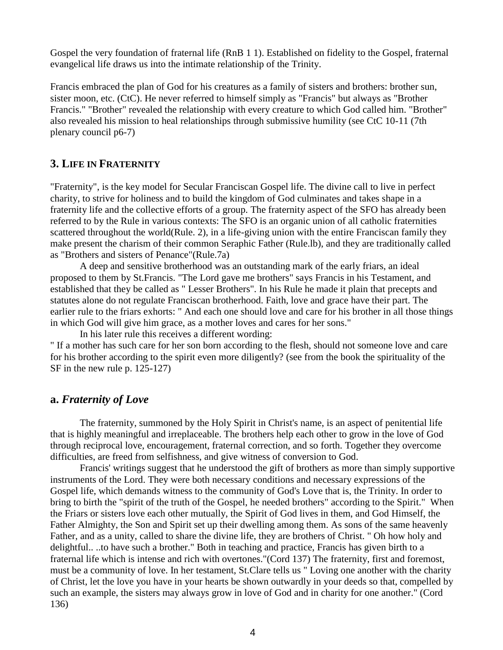Gospel the very foundation of fraternal life (RnB 1 1). Established on fidelity to the Gospel, fraternal evangelical life draws us into the intimate relationship of the Trinity.

Francis embraced the plan of God for his creatures as a family of sisters and brothers: brother sun, sister moon, etc. (CtC). He never referred to himself simply as "Francis" but always as "Brother Francis." "Brother" revealed the relationship with every creature to which God called him. "Brother" also revealed his mission to heal relationships through submissive humility (see CtC 10-11 (7th plenary council p6-7)

### **3. LIFE IN FRATERNITY**

"Fraternity", is the key model for Secular Franciscan Gospel life. The divine call to live in perfect charity, to strive for holiness and to build the kingdom of God culminates and takes shape in a fraternity life and the collective efforts of a group. The fraternity aspect of the SFO has already been referred to by the Rule in various contexts: The SFO is an organic union of all catholic fraternities scattered throughout the world(Rule. 2), in a life-giving union with the entire Franciscan family they make present the charism of their common Seraphic Father (Rule.lb), and they are traditionally called as "Brothers and sisters of Penance"(Rule.7a)

A deep and sensitive brotherhood was an outstanding mark of the early friars, an ideal proposed to them by St.Francis. "The Lord gave me brothers" says Francis in his Testament, and established that they be called as " Lesser Brothers". In his Rule he made it plain that precepts and statutes alone do not regulate Franciscan brotherhood. Faith, love and grace have their part. The earlier rule to the friars exhorts: " And each one should love and care for his brother in all those things in which God will give him grace, as a mother loves and cares for her sons."

In his later rule this receives a different wording:

" If a mother has such care for her son born according to the flesh, should not someone love and care for his brother according to the spirit even more diligently? (see from the book the spirituality of the SF in the new rule p. 125-127)

#### **a.** *Fraternity of Love*

The fraternity, summoned by the Holy Spirit in Christ's name, is an aspect of penitential life that is highly meaningful and irreplaceable. The brothers help each other to grow in the love of God through reciprocal love, encouragement, fraternal correction, and so forth. Together they overcome difficulties, are freed from selfishness, and give witness of conversion to God.

Francis' writings suggest that he understood the gift of brothers as more than simply supportive instruments of the Lord. They were both necessary conditions and necessary expressions of the Gospel life, which demands witness to the community of God's Love that is, the Trinity. In order to bring to birth the "spirit of the truth of the Gospel, he needed brothers" according to the Spirit." When the Friars or sisters love each other mutually, the Spirit of God lives in them, and God Himself, the Father Almighty, the Son and Spirit set up their dwelling among them. As sons of the same heavenly Father, and as a unity, called to share the divine life, they are brothers of Christ. " Oh how holy and delightful.. ..to have such a brother." Both in teaching and practice, Francis has given birth to a fraternal life which is intense and rich with overtones."(Cord 137) The fraternity, first and foremost, must be a community of love. In her testament, St.Clare tells us " Loving one another with the charity of Christ, let the love you have in your hearts be shown outwardly in your deeds so that, compelled by such an example, the sisters may always grow in love of God and in charity for one another." (Cord 136)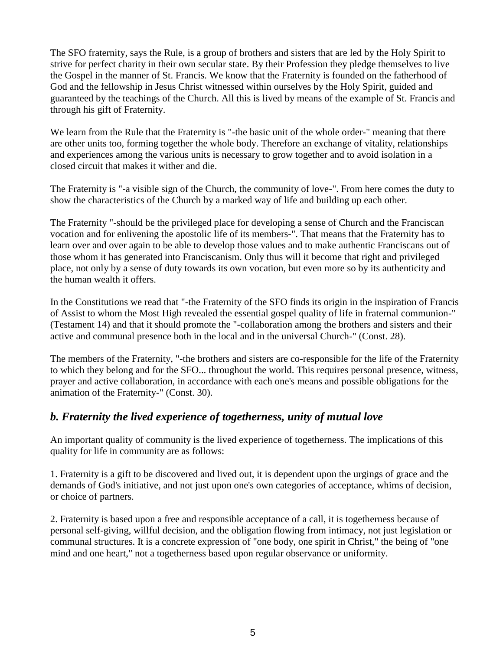The SFO fraternity, says the Rule, is a group of brothers and sisters that are led by the Holy Spirit to strive for perfect charity in their own secular state. By their Profession they pledge themselves to live the Gospel in the manner of St. Francis. We know that the Fraternity is founded on the fatherhood of God and the fellowship in Jesus Christ witnessed within ourselves by the Holy Spirit, guided and guaranteed by the teachings of the Church. All this is lived by means of the example of St. Francis and through his gift of Fraternity.

We learn from the Rule that the Fraternity is "-the basic unit of the whole order-" meaning that there are other units too, forming together the whole body. Therefore an exchange of vitality, relationships and experiences among the various units is necessary to grow together and to avoid isolation in a closed circuit that makes it wither and die.

The Fraternity is "-a visible sign of the Church, the community of love-". From here comes the duty to show the characteristics of the Church by a marked way of life and building up each other.

The Fraternity "-should be the privileged place for developing a sense of Church and the Franciscan vocation and for enlivening the apostolic life of its members-". That means that the Fraternity has to learn over and over again to be able to develop those values and to make authentic Franciscans out of those whom it has generated into Franciscanism. Only thus will it become that right and privileged place, not only by a sense of duty towards its own vocation, but even more so by its authenticity and the human wealth it offers.

In the Constitutions we read that "-the Fraternity of the SFO finds its origin in the inspiration of Francis of Assist to whom the Most High revealed the essential gospel quality of life in fraternal communion-" (Testament 14) and that it should promote the "-collaboration among the brothers and sisters and their active and communal presence both in the local and in the universal Church-" (Const. 28).

The members of the Fraternity, "-the brothers and sisters are co-responsible for the life of the Fraternity to which they belong and for the SFO... throughout the world. This requires personal presence, witness, prayer and active collaboration, in accordance with each one's means and possible obligations for the animation of the Fraternity-" (Const. 30).

# *b. Fraternity the lived experience of togetherness, unity of mutual love*

An important quality of community is the lived experience of togetherness. The implications of this quality for life in community are as follows:

1. Fraternity is a gift to be discovered and lived out, it is dependent upon the urgings of grace and the demands of God's initiative, and not just upon one's own categories of acceptance, whims of decision, or choice of partners.

2. Fraternity is based upon a free and responsible acceptance of a call, it is togetherness because of personal self-giving, willful decision, and the obligation flowing from intimacy, not just legislation or communal structures. It is a concrete expression of "one body, one spirit in Christ," the being of "one mind and one heart," not a togetherness based upon regular observance or uniformity.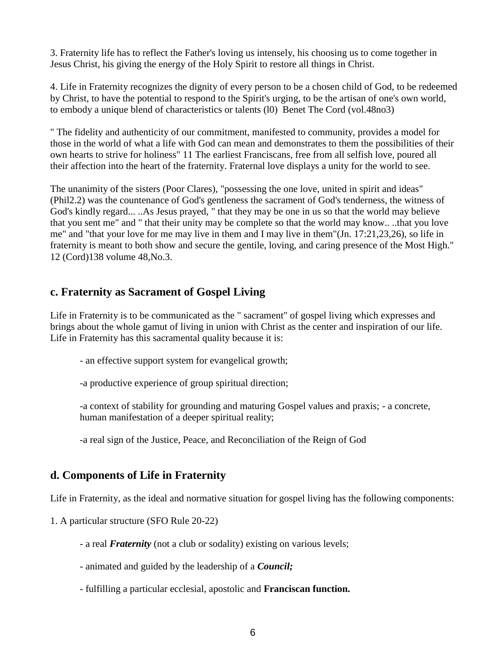3. Fraternity life has to reflect the Father's loving us intensely, his choosing us to come together in Jesus Christ, his giving the energy of the Holy Spirit to restore all things in Christ.

4. Life in Fraternity recognizes the dignity of every person to be a chosen child of God, to be redeemed by Christ, to have the potential to respond to the Spirit's urging, to be the artisan of one's own world, to embody a unique blend of characteristics or talents (l0) Benet The Cord (vol.48no3)

" The fidelity and authenticity of our commitment, manifested to community, provides a model for those in the world of what a life with God can mean and demonstrates to them the possibilities of their own hearts to strive for holiness" 11 The earliest Franciscans, free from all selfish love, poured all their affection into the heart of the fraternity. Fraternal love displays a unity for the world to see.

The unanimity of the sisters (Poor Clares), "possessing the one love, united in spirit and ideas" (Phil2.2) was the countenance of God's gentleness the sacrament of God's tenderness, the witness of God's kindly regard... ..As Jesus prayed, " that they may be one in us so that the world may believe that you sent me" and " that their unity may be complete so that the world may know.. ..that you love me" and "that your love for me may live in them and I may live in them"(Jn. 17:21,23,26), so life in fraternity is meant to both show and secure the gentile, loving, and caring presence of the Most High." 12 (Cord)138 volume 48,No.3.

## **c. Fraternity as Sacrament of Gospel Living**

Life in Fraternity is to be communicated as the " sacrament" of gospel living which expresses and brings about the whole gamut of living in union with Christ as the center and inspiration of our life. Life in Fraternity has this sacramental quality because it is:

- an effective support system for evangelical growth;
- -a productive experience of group spiritual direction;
- -a context of stability for grounding and maturing Gospel values and praxis; a concrete, human manifestation of a deeper spiritual reality;
- -a real sign of the Justice, Peace, and Reconciliation of the Reign of God

## **d. Components of Life in Fraternity**

Life in Fraternity, as the ideal and normative situation for gospel living has the following components:

1. A particular structure (SFO Rule 20-22)

- a real *Fraternity* (not a club or sodality) existing on various levels;
- animated and guided by the leadership of a *Council;*
- fulfilling a particular ecclesial, apostolic and **Franciscan function.**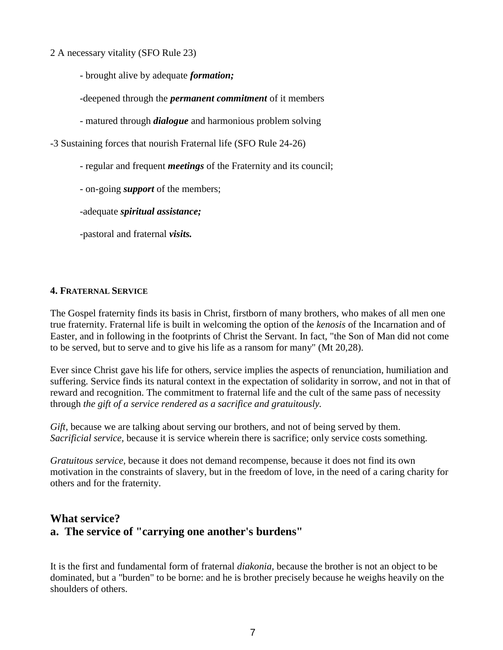- 2 A necessary vitality (SFO Rule 23)
	- brought alive by adequate *formation;*
	- -deepened through the *permanent commitment* of it members
	- matured through *dialogue* and harmonious problem solving
- -3 Sustaining forces that nourish Fraternal life (SFO Rule 24-26)
	- regular and frequent *meetings* of the Fraternity and its council;
	- on-going *support* of the members;
	- -adequate *spiritual assistance;*
	- -pastoral and fraternal *visits.*

#### **4. FRATERNAL SERVICE**

The Gospel fraternity finds its basis in Christ, firstborn of many brothers, who makes of all men one true fraternity. Fraternal life is built in welcoming the option of the *kenosis* of the Incarnation and of Easter, and in following in the footprints of Christ the Servant. In fact, "the Son of Man did not come to be served, but to serve and to give his life as a ransom for many" (Mt 20,28).

Ever since Christ gave his life for others, service implies the aspects of renunciation, humiliation and suffering. Service finds its natural context in the expectation of solidarity in sorrow, and not in that of reward and recognition. The commitment to fraternal life and the cult of the same pass of necessity through *the gift of a service rendered as a sacrifice and gratuitously.*

*Gift,* because we are talking about serving our brothers, and not of being served by them. *Sacrificial service,* because it is service wherein there is sacrifice; only service costs something.

*Gratuitous service,* because it does not demand recompense, because it does not find its own motivation in the constraints of slavery, but in the freedom of love, in the need of a caring charity for others and for the fraternity.

## **What service? a. The service of "carrying one another's burdens"**

It is the first and fundamental form of fraternal *diakonia,* because the brother is not an object to be dominated, but a "burden" to be borne: and he is brother precisely because he weighs heavily on the shoulders of others.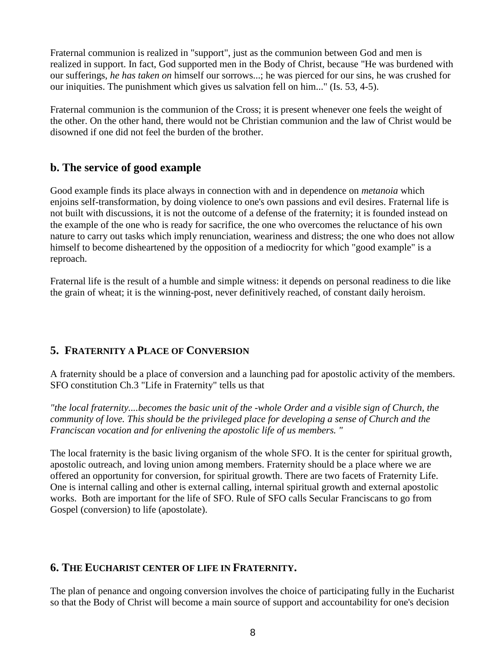Fraternal communion is realized in "support", just as the communion between God and men is realized in support. In fact, God supported men in the Body of Christ, because "He was burdened with our sufferings, *he has taken on* himself our sorrows...; he was pierced for our sins, he was crushed for our iniquities. The punishment which gives us salvation fell on him..." (Is. 53, 4-5).

Fraternal communion is the communion of the Cross; it is present whenever one feels the weight of the other. On the other hand, there would not be Christian communion and the law of Christ would be disowned if one did not feel the burden of the brother.

## **b. The service of good example**

Good example finds its place always in connection with and in dependence on *metanoia* which enjoins self-transformation, by doing violence to one's own passions and evil desires. Fraternal life is not built with discussions, it is not the outcome of a defense of the fraternity; it is founded instead on the example of the one who is ready for sacrifice, the one who overcomes the reluctance of his own nature to carry out tasks which imply renunciation, weariness and distress; the one who does not allow himself to become disheartened by the opposition of a mediocrity for which "good example" is a reproach.

Fraternal life is the result of a humble and simple witness: it depends on personal readiness to die like the grain of wheat; it is the winning-post, never definitively reached, of constant daily heroism.

# **5. FRATERNITY A PLACE OF CONVERSION**

A fraternity should be a place of conversion and a launching pad for apostolic activity of the members. SFO constitution Ch.3 "Life in Fraternity" tells us that

*"the local fraternity....becomes the basic unit of the -whole Order and a visible sign of Church, the community of love. This should be the privileged place for developing a sense of Church and the Franciscan vocation and for enlivening the apostolic life of us members. "*

The local fraternity is the basic living organism of the whole SFO. It is the center for spiritual growth, apostolic outreach, and loving union among members. Fraternity should be a place where we are offered an opportunity for conversion, for spiritual growth. There are two facets of Fraternity Life. One is internal calling and other is external calling, internal spiritual growth and external apostolic works. Both are important for the life of SFO. Rule of SFO calls Secular Franciscans to go from Gospel (conversion) to life (apostolate).

### **6. THE EUCHARIST CENTER OF LIFE IN FRATERNITY.**

The plan of penance and ongoing conversion involves the choice of participating fully in the Eucharist so that the Body of Christ will become a main source of support and accountability for one's decision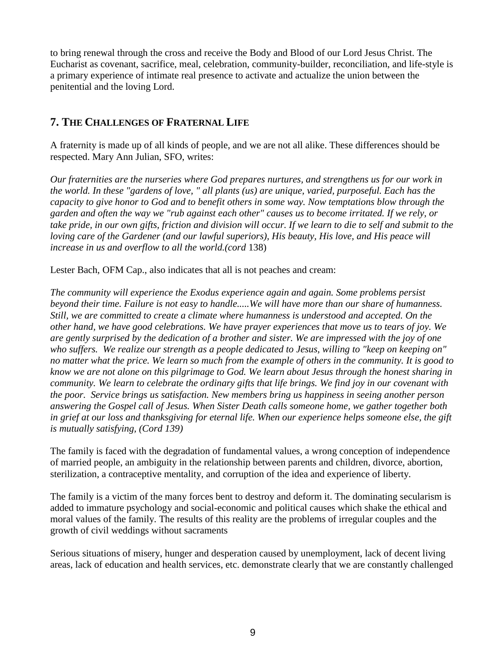to bring renewal through the cross and receive the Body and Blood of our Lord Jesus Christ. The Eucharist as covenant, sacrifice, meal, celebration, community-builder, reconciliation, and life-style is a primary experience of intimate real presence to activate and actualize the union between the penitential and the loving Lord.

### **7. THE CHALLENGES OF FRATERNAL LIFE**

A fraternity is made up of all kinds of people, and we are not all alike. These differences should be respected. Mary Ann Julian, SFO, writes:

*Our fraternities are the nurseries where God prepares nurtures, and strengthens us for our work in the world. In these "gardens of love, " all plants (us) are unique, varied, purposeful. Each has the capacity to give honor to God and to benefit others in some way. Now temptations blow through the garden and often the way we "rub against each other" causes us to become irritated. If we rely, or take pride, in our own gifts, friction and division will occur. If we learn to die to self and submit to the loving care of the Gardener (and our lawful superiors), His beauty, His love, and His peace will increase in us and overflow to all the world.(cord* 138)

Lester Bach, OFM Cap., also indicates that all is not peaches and cream:

*The community will experience the Exodus experience again and again. Some problems persist beyond their time. Failure is not easy to handle.....We will have more than our share of humanness. Still, we are committed to create a climate where humanness is understood and accepted. On the other hand, we have good celebrations. We have prayer experiences that move us to tears of joy. We are gently surprised by the dedication of a brother and sister. We are impressed with the joy of one who suffers. We realize our strength as a people dedicated to Jesus, willing to "keep on keeping on" no matter what the price. We learn so much from the example of others in the community. It is good to know we are not alone on this pilgrimage to God. We learn about Jesus through the honest sharing in community. We learn to celebrate the ordinary gifts that life brings. We find joy in our covenant with the poor. Service brings us satisfaction. New members bring us happiness in seeing another person answering the Gospel call of Jesus. When Sister Death calls someone home, we gather together both in grief at our loss and thanksgiving for eternal life. When our experience helps someone else, the gift is mutually satisfying, (Cord 139)*

The family is faced with the degradation of fundamental values, a wrong conception of independence of married people, an ambiguity in the relationship between parents and children, divorce, abortion, sterilization, a contraceptive mentality, and corruption of the idea and experience of liberty.

The family is a victim of the many forces bent to destroy and deform it. The dominating secularism is added to immature psychology and social-economic and political causes which shake the ethical and moral values of the family. The results of this reality are the problems of irregular couples and the growth of civil weddings without sacraments

Serious situations of misery, hunger and desperation caused by unemployment, lack of decent living areas, lack of education and health services, etc. demonstrate clearly that we are constantly challenged